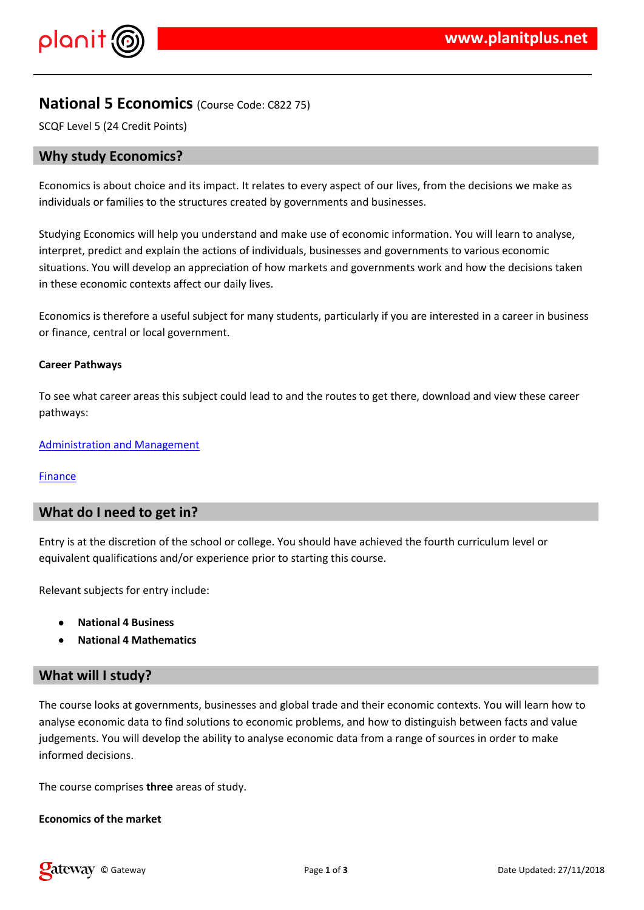## $\frac{1}{2}$  # \$ % % &

 $'( 8 ) \% ( \% )$  \*  $( + % ( - 8 ) \% )$  " $( ,$   $( # \% )$   $) + ( % \% )$   $( % )$   $($   $)$   $($   $)$   $($   $)$   $($   $)$   $($   $)$   $($   $)$   $($   $)$   $($   $)$   $($   $)$   $($   $)$   $($   $)$   $($   $)$   $($   $)$   $($   $)$   $($   $)$   $($   $)$   $($   $)$   $($   $)$   $($   $)$   $($   $)$   $($   $)$ 

 $\%$  &  $'$  ( &  $\%$  ) ( #  $\#$   $\#$   $\%$  ( &  $\%$  ) (  $\%$  & 0 )  $\%$  # &  $\#$  &  $\#$  . . % ( & ( % #& %&& % "\*% % & . & " &) & " % ( & ) % ( % & % % & , 0 " # % # # (% % +& ) / & " & ) &  $8/ +$  + (% /% &  $%8+$   $(8)$  %  $(8.1$  % # $(4\%$ ",

 $(8) \% ($  % + #2() & & . %4# # %& %& %& \* 9 %& & (&  $\frac{1}{2}$  # (#  $\frac{1}{2}$  & ) & ,

3 +  $($  \*2 + % (  $#$  8 + + . 8  $#$  8  $*$  8  $*$  $+$ 

4 ) % & % % % & & & &

 $% 88$  (

 $'8$  % + % (  $(+\%$  #& # #  $\theta$  , + # + "  $(+\%$  " + ( % ( # ) # " ; 6 % # & 6 # % % (1 % % & Q & % % & % % % % %

 $7 \# " 8 \t * 2 ( 8 \t % 8 (#$ 

# / " \* & )% & & # \* # & + % ( & ( )& ( 10 , % # # #  $3 + ($ 8  $8 + (8) \% (8 + 1) \% (8 + 1) \% (8 + 1) \% (8 + 1) + (1) \% (8 + 1) \% (8 + 1) + (1) \% (8 + 1) \% (8 + 1) + (1) \% (8 + 1) + (1) \% (8 + 1) + (1) \% (8 + 1) + (1) \% (8 + 1) + (1) \% (8 + 1) + (1) \% (8 + 1) + (1) \% (8 + 1) + (1) \% (8 + 1) + (1) \% (8 + 1) + (1) \% (8 + 1) + (1) \% (8 + 1) + (1) \% (8 + 1) + (1) \% (8 + 1) + (1) \% (8 +$  $\left($ 2 ) & , 0 % # #  $*$  "%# # % + (&& #) % ( ) & ( %) & /  $% 8$  )  $(% % 8 ,$ 

 $\overline{\phantom{a}}$ 

 $3+$  ( ) %

 $\mathbb{E}[1]$  and  $\mathbb{E}[0]$  . In the  $\mathbb{E}[0]$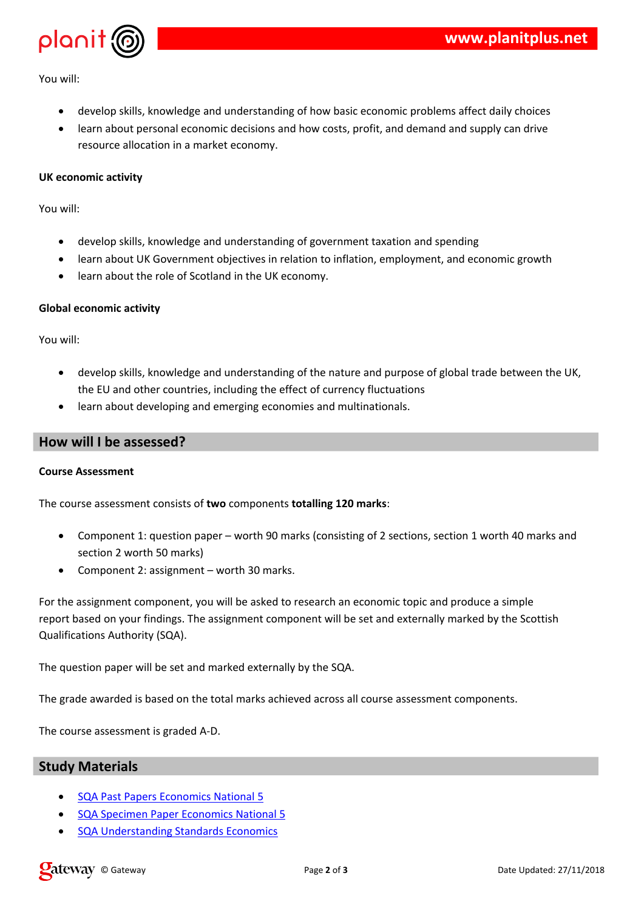$0 \frac{9}{6}$  # #

 $"$  # /%##./&& & %& \* %( (& \*)#%)( (+ %#  $#$  &\*  $($  ##  $($  % & % &  $\lambda$  ),

- $$%$  $\mathcal{R}$
- $0 \frac{9}{6}$  # #

/%## . / & 卷 & % & " & ) & 1& % & % &  $"$  # 8 " & ) & \* 2 ( % " % & % & #% )% # & .) & .& ( & ) % ( +  $\#$   $\&*$  $+$  #  $\frac{9}{68}$  #8 & ( & ),  $#$  &\*

- $\mathcal{L}$  (  $\alpha$
- $\Omega$  $\%$  # #

"#/%##./&& #& & %& & &  $\#$  \*  $\#$  \* 8 +  $+$  (  $8$  %  $. +\%8$  (  $\#$  (  $\%8$   $\&$  (  $\#$  (  $\%$   $\&$  $+$   $8$ " # % & & () & ) % & & ) # % & % & #,  $#$  &\*

- $\big)$ 
	- $\star$

 $# +$  "  $3+$  ( ) & ( &  $\ell$ ) & &

> $($  % &  $+$  ) /  $( ) 8 8$  % 98  $( 8 + )$   $/$

 $+$  % & ) & ( ) & %  $\frac{1}{2}$  #  $+$  (  $+$  +  $\frac{1}{2}$  (  $+$  &  $\frac{1}{2}$  &  $\frac{1}{2}$  (  $+$   $+$   $\frac{1}{2}$   $+$   $\frac{1}{2}$   $+$   $\frac{1}{2}$   $+$   $\frac{1}{2}$   $+$   $\frac{1}{2}$   $+$   $\frac{1}{2}$   $+$   $\frac{1}{2}$   $+$   $\frac{1}{2}$   $+$   $\frac{1}{2}$   $+$  & %&%&, %&())&&& %##&\* 1 &## \* + ( % +  $\#%$  % ( % & 4 + %  $4<sub>1</sub>$ 

 $3 + 6$  % &  $\frac{1}{26}$  # #  $\frac{1}{2}$   $\frac{1}{2}$  8 # #  $\frac{1}{2}$  4,

 $\%$  \*+  $\&\#$  / (+% " ( ( ## )(  $\&$  &  $\&$  ,  $3 +$ 

 $\frac{3}{8}$  % < .  $3+$  (

> $(8) \% (7) = 968$ #  $\overline{4}$  and  $\overline{4}$ 4 (%) &  $\left( \begin{array}{c} 8 \end{array} \right)$  %  $\left( \begin{array}{c} 2 \end{array} \right)$  % & # 4 & 8 % & 8 ( & ) % (